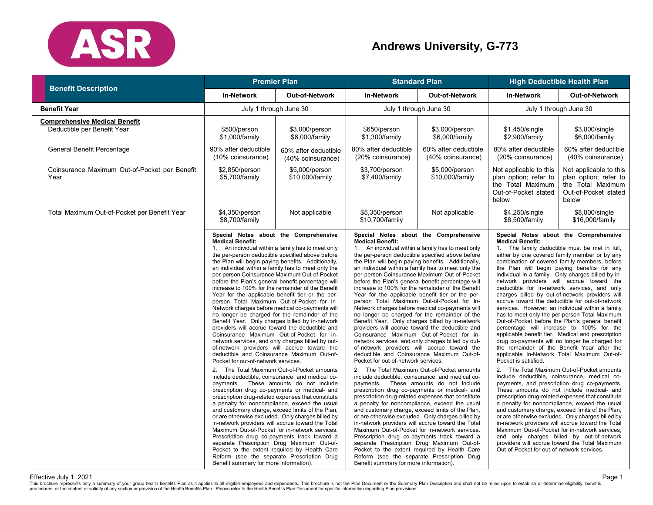

# **Andrews University, G-773**

| <b>Benefit Description</b>                                          | <b>Premier Plan</b>                                                                                                                                                                                                                                                                                                                                                                                                                                                                                                                                                                                                                                                                                                                                                                                                                                                                                                                                                                                                                                                                                                                                                                                                                                                                                                                                                                                                                                                                                                                                                                                                                                                                                               |                                           | <b>Standard Plan</b>                                                                                                                                      |                                                                                                                                                                                                                                                                                                                                                                                                                                                                                                                                                                                                                                                                                                                                                                                                                                                                                                                                                                                                                                                                                                                                                                                                                                                                                                                                                                                                                                                                                                                                                                                                | <b>High Deductible Health Plan</b>                                                                                                                                                              |                                                                                                                                                                                                                                                                                                                                                                                                                                                                                                                                                                                                                                                                                                                                                                                                                                                                                                                                                                                                                                                                                                                                                                                                                                                                                                                                                                                                                         |
|---------------------------------------------------------------------|-------------------------------------------------------------------------------------------------------------------------------------------------------------------------------------------------------------------------------------------------------------------------------------------------------------------------------------------------------------------------------------------------------------------------------------------------------------------------------------------------------------------------------------------------------------------------------------------------------------------------------------------------------------------------------------------------------------------------------------------------------------------------------------------------------------------------------------------------------------------------------------------------------------------------------------------------------------------------------------------------------------------------------------------------------------------------------------------------------------------------------------------------------------------------------------------------------------------------------------------------------------------------------------------------------------------------------------------------------------------------------------------------------------------------------------------------------------------------------------------------------------------------------------------------------------------------------------------------------------------------------------------------------------------------------------------------------------------|-------------------------------------------|-----------------------------------------------------------------------------------------------------------------------------------------------------------|------------------------------------------------------------------------------------------------------------------------------------------------------------------------------------------------------------------------------------------------------------------------------------------------------------------------------------------------------------------------------------------------------------------------------------------------------------------------------------------------------------------------------------------------------------------------------------------------------------------------------------------------------------------------------------------------------------------------------------------------------------------------------------------------------------------------------------------------------------------------------------------------------------------------------------------------------------------------------------------------------------------------------------------------------------------------------------------------------------------------------------------------------------------------------------------------------------------------------------------------------------------------------------------------------------------------------------------------------------------------------------------------------------------------------------------------------------------------------------------------------------------------------------------------------------------------------------------------|-------------------------------------------------------------------------------------------------------------------------------------------------------------------------------------------------|-------------------------------------------------------------------------------------------------------------------------------------------------------------------------------------------------------------------------------------------------------------------------------------------------------------------------------------------------------------------------------------------------------------------------------------------------------------------------------------------------------------------------------------------------------------------------------------------------------------------------------------------------------------------------------------------------------------------------------------------------------------------------------------------------------------------------------------------------------------------------------------------------------------------------------------------------------------------------------------------------------------------------------------------------------------------------------------------------------------------------------------------------------------------------------------------------------------------------------------------------------------------------------------------------------------------------------------------------------------------------------------------------------------------------|
|                                                                     | <b>In-Network</b>                                                                                                                                                                                                                                                                                                                                                                                                                                                                                                                                                                                                                                                                                                                                                                                                                                                                                                                                                                                                                                                                                                                                                                                                                                                                                                                                                                                                                                                                                                                                                                                                                                                                                                 | <b>Out-of-Network</b>                     | <b>In-Network</b>                                                                                                                                         | <b>Out-of-Network</b>                                                                                                                                                                                                                                                                                                                                                                                                                                                                                                                                                                                                                                                                                                                                                                                                                                                                                                                                                                                                                                                                                                                                                                                                                                                                                                                                                                                                                                                                                                                                                                          | <b>In-Network</b>                                                                                                                                                                               | <b>Out-of-Network</b>                                                                                                                                                                                                                                                                                                                                                                                                                                                                                                                                                                                                                                                                                                                                                                                                                                                                                                                                                                                                                                                                                                                                                                                                                                                                                                                                                                                                   |
| Benefit Year                                                        | July 1 through June 30                                                                                                                                                                                                                                                                                                                                                                                                                                                                                                                                                                                                                                                                                                                                                                                                                                                                                                                                                                                                                                                                                                                                                                                                                                                                                                                                                                                                                                                                                                                                                                                                                                                                                            |                                           | July 1 through June 30                                                                                                                                    |                                                                                                                                                                                                                                                                                                                                                                                                                                                                                                                                                                                                                                                                                                                                                                                                                                                                                                                                                                                                                                                                                                                                                                                                                                                                                                                                                                                                                                                                                                                                                                                                | July 1 through June 30                                                                                                                                                                          |                                                                                                                                                                                                                                                                                                                                                                                                                                                                                                                                                                                                                                                                                                                                                                                                                                                                                                                                                                                                                                                                                                                                                                                                                                                                                                                                                                                                                         |
| <b>Comprehensive Medical Benefit</b><br>Deductible per Benefit Year | \$500/person<br>\$1,000/family                                                                                                                                                                                                                                                                                                                                                                                                                                                                                                                                                                                                                                                                                                                                                                                                                                                                                                                                                                                                                                                                                                                                                                                                                                                                                                                                                                                                                                                                                                                                                                                                                                                                                    | \$3,000/person<br>\$6,000/family          | \$650/person<br>\$1,300/family                                                                                                                            | \$3,000/person<br>\$6,000/family                                                                                                                                                                                                                                                                                                                                                                                                                                                                                                                                                                                                                                                                                                                                                                                                                                                                                                                                                                                                                                                                                                                                                                                                                                                                                                                                                                                                                                                                                                                                                               | \$1,450/single<br>\$2,900/family                                                                                                                                                                | \$3,000/single<br>\$6,000/family                                                                                                                                                                                                                                                                                                                                                                                                                                                                                                                                                                                                                                                                                                                                                                                                                                                                                                                                                                                                                                                                                                                                                                                                                                                                                                                                                                                        |
| General Benefit Percentage                                          | 90% after deductible<br>(10% coinsurance)                                                                                                                                                                                                                                                                                                                                                                                                                                                                                                                                                                                                                                                                                                                                                                                                                                                                                                                                                                                                                                                                                                                                                                                                                                                                                                                                                                                                                                                                                                                                                                                                                                                                         | 60% after deductible<br>(40% coinsurance) | 80% after deductible<br>(20% coinsurance)                                                                                                                 | 60% after deductible<br>(40% coinsurance)                                                                                                                                                                                                                                                                                                                                                                                                                                                                                                                                                                                                                                                                                                                                                                                                                                                                                                                                                                                                                                                                                                                                                                                                                                                                                                                                                                                                                                                                                                                                                      | 80% after deductible<br>(20% coinsurance)                                                                                                                                                       | 60% after deductible<br>(40% coinsurance)                                                                                                                                                                                                                                                                                                                                                                                                                                                                                                                                                                                                                                                                                                                                                                                                                                                                                                                                                                                                                                                                                                                                                                                                                                                                                                                                                                               |
| Coinsurance Maximum Out-of-Pocket per Benefit<br>Year               | \$2,850/person<br>\$5,700/family                                                                                                                                                                                                                                                                                                                                                                                                                                                                                                                                                                                                                                                                                                                                                                                                                                                                                                                                                                                                                                                                                                                                                                                                                                                                                                                                                                                                                                                                                                                                                                                                                                                                                  | \$5,000/person<br>\$10,000/family         | \$3,700/person<br>\$7,400/family                                                                                                                          | \$5,000/person<br>\$10,000/family                                                                                                                                                                                                                                                                                                                                                                                                                                                                                                                                                                                                                                                                                                                                                                                                                                                                                                                                                                                                                                                                                                                                                                                                                                                                                                                                                                                                                                                                                                                                                              | Not applicable to this<br>plan option; refer to<br>the Total Maximum<br>Out-of-Pocket stated<br>below                                                                                           | Not applicable to this<br>plan option; refer to<br>the Total Maximum<br>Out-of-Pocket stated<br>below                                                                                                                                                                                                                                                                                                                                                                                                                                                                                                                                                                                                                                                                                                                                                                                                                                                                                                                                                                                                                                                                                                                                                                                                                                                                                                                   |
| Total Maximum Out-of-Pocket per Benefit Year                        | \$4,350/person<br>\$8,700/family                                                                                                                                                                                                                                                                                                                                                                                                                                                                                                                                                                                                                                                                                                                                                                                                                                                                                                                                                                                                                                                                                                                                                                                                                                                                                                                                                                                                                                                                                                                                                                                                                                                                                  | Not applicable                            | \$5,350/person<br>\$10,700/family                                                                                                                         | Not applicable                                                                                                                                                                                                                                                                                                                                                                                                                                                                                                                                                                                                                                                                                                                                                                                                                                                                                                                                                                                                                                                                                                                                                                                                                                                                                                                                                                                                                                                                                                                                                                                 | \$4,250/single<br>\$8,500/family                                                                                                                                                                | \$8,000/single<br>\$16,000/family                                                                                                                                                                                                                                                                                                                                                                                                                                                                                                                                                                                                                                                                                                                                                                                                                                                                                                                                                                                                                                                                                                                                                                                                                                                                                                                                                                                       |
|                                                                     | Special Notes about the Comprehensive<br><b>Medical Benefit:</b><br>1. An individual within a family has to meet only<br>the per-person deductible specified above before<br>the Plan will begin paying benefits. Additionally,<br>an individual within a family has to meet only the<br>per-person Coinsurance Maximum Out-of-Pocket<br>before the Plan's general benefit percentage will<br>increase to 100% for the remainder of the Benefit<br>Year for the applicable benefit tier or the per-<br>person Total Maximum Out-of-Pocket for In-<br>Network charges before medical co-payments will<br>no longer be charged for the remainder of the<br>Benefit Year. Only charges billed by in-network<br>providers will accrue toward the deductible and<br>Coinsurance Maximum Out-of-Pocket for in-<br>network services, and only charges billed by out-<br>of-network providers will accrue toward the<br>deductible and Coinsurance Maximum Out-of-<br>Pocket for out-of-network services.<br>2. The Total Maximum Out-of-Pocket amounts<br>include deductible, coinsurance, and medical co-<br>payments. These amounts do not include<br>prescription drug co-payments or medical- and<br>prescription drug-related expenses that constitute<br>a penalty for noncompliance, exceed the usual<br>and customary charge, exceed limits of the Plan,<br>or are otherwise excluded. Only charges billed by<br>in-network providers will accrue toward the Total<br>Maximum Out-of-Pocket for in-network services.<br>Prescription drug co-payments track toward a<br>separate Prescription Drug Maximum Out-of-<br>Pocket to the extent required by Health Care<br>Reform (see the separate Prescription Drug |                                           | <b>Medical Benefit:</b><br>Pocket for out-of-network services.<br>a penalty for noncompliance, exceed the usual<br>Benefit summary for more information). | Special Notes about the Comprehensive<br>1. An individual within a family has to meet only<br>the per-person deductible specified above before<br>the Plan will begin paying benefits. Additionally,<br>an individual within a family has to meet only the<br>per-person Coinsurance Maximum Out-of-Pocket<br>before the Plan's general benefit percentage will<br>increase to 100% for the remainder of the Benefit<br>Year for the applicable benefit tier or the per-<br>person Total Maximum Out-of-Pocket for In-<br>Network charges before medical co-payments will<br>no longer be charged for the remainder of the<br>Benefit Year. Only charges billed by in-network<br>providers will accrue toward the deductible and<br>Coinsurance Maximum Out-of-Pocket for in-<br>network services, and only charges billed by out-<br>of-network providers will accrue toward the<br>deductible and Coinsurance Maximum Out-of-<br>2. The Total Maximum Out-of-Pocket amounts<br>include deductible, coinsurance, and medical co-<br>payments. These amounts do not include<br>prescription drug co-payments or medical- and<br>prescription drug-related expenses that constitute<br>and customary charge, exceed limits of the Plan,<br>or are otherwise excluded. Only charges billed by<br>in-network providers will accrue toward the Total<br>Maximum Out-of-Pocket for in-network services.<br>Prescription drug co-payments track toward a<br>separate Prescription Drug Maximum Out-of-<br>Pocket to the extent required by Health Care<br>Reform (see the separate Prescription Drug | <b>Medical Benefit:</b><br>1. The family deductible must be met in full,<br>Pocket is satisfied.<br>a penalty for noncompliance, exceed the usual<br>Out-of-Pocket for out-of-network services. | Special Notes about the Comprehensive<br>either by one covered family member or by any<br>combination of covered family members, before<br>the Plan will begin paying benefits for any<br>individual in a family. Only charges billed by in-<br>network providers will accrue toward the<br>deductible for in-network services, and only<br>charges billed by out-of-network providers will<br>accrue toward the deductible for out-of-network<br>services. However, an individual within a family<br>has to meet only the per-person Total Maximum<br>Out-of-Pocket before the Plan's general benefit<br>percentage will increase to 100% for the<br>applicable benefit tier. Medical and prescription<br>drug co-payments will no longer be charged for<br>the remainder of the Benefit Year after the<br>applicable In-Network Total Maximum Out-of-<br>2. The Total Maximum Out-of-Pocket amounts<br>include deductible, coinsurance, medical co-<br>payments, and prescription drug co-payments.<br>These amounts do not include medical- and<br>prescription drug-related expenses that constitute<br>and customary charge, exceed limits of the Plan,<br>or are otherwise excluded. Only charges billed by<br>in-network providers will accrue toward the Total<br>Maximum Out-of-Pocket for in-network services,<br>and only charges billed by out-of-network<br>providers will accrue toward the Total Maximum |

Effective July 1, 2021<br>This brochure represents only a summary of your group health benefits Plan as it applies to all eligible employees and dependents. This brochure is not the Plan Document or the Summary Plan Descripti Page 1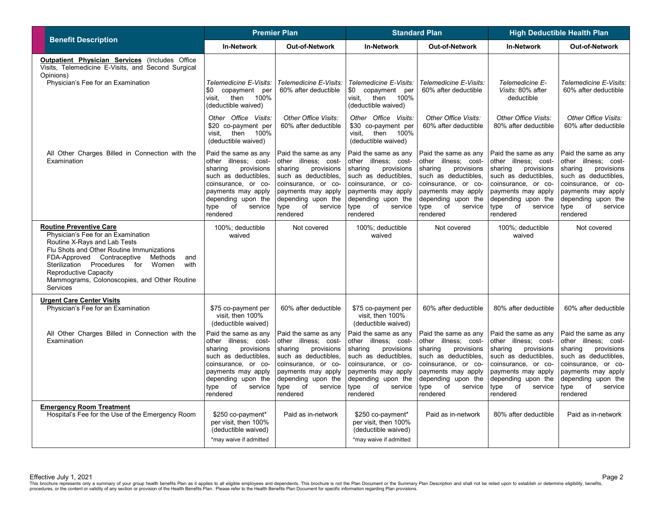|                                                                                                                                                                                                                                                                                                                                         | <b>Premier Plan</b>                                                                                                                                                                                   |                                                                                                                                                                                                       | <b>Standard Plan</b>                                                                                                                                                                                  |                                                                                                                                                                                                       | <b>High Deductible Health Plan</b>                                                                                                                                                                    |                                                                                                                                                                                                       |
|-----------------------------------------------------------------------------------------------------------------------------------------------------------------------------------------------------------------------------------------------------------------------------------------------------------------------------------------|-------------------------------------------------------------------------------------------------------------------------------------------------------------------------------------------------------|-------------------------------------------------------------------------------------------------------------------------------------------------------------------------------------------------------|-------------------------------------------------------------------------------------------------------------------------------------------------------------------------------------------------------|-------------------------------------------------------------------------------------------------------------------------------------------------------------------------------------------------------|-------------------------------------------------------------------------------------------------------------------------------------------------------------------------------------------------------|-------------------------------------------------------------------------------------------------------------------------------------------------------------------------------------------------------|
| <b>Benefit Description</b>                                                                                                                                                                                                                                                                                                              | <b>In-Network</b>                                                                                                                                                                                     | Out-of-Network                                                                                                                                                                                        | <b>In-Network</b>                                                                                                                                                                                     | Out-of-Network                                                                                                                                                                                        | <b>In-Network</b>                                                                                                                                                                                     | Out-of-Network                                                                                                                                                                                        |
| <b>Outpatient Physician Services</b> (Includes Office<br>Visits, Telemedicine E-Visits, and Second Surgical<br>Opinions)<br>Physician's Fee for an Examination                                                                                                                                                                          | Telemedicine E-Visits:<br>\$0<br>copayment per<br>100%<br>visit,<br>then                                                                                                                              | Telemedicine E-Visits:<br>60% after deductible                                                                                                                                                        | Telemedicine E-Visits:<br>\$0<br>copayment per<br>then<br>visit.<br>100%                                                                                                                              | Telemedicine E-Visits:<br>60% after deductible                                                                                                                                                        | Telemedicine E-<br>Visits: 80% after<br>deductible                                                                                                                                                    | Telemedicine E-Visits:<br>60% after deductible                                                                                                                                                        |
|                                                                                                                                                                                                                                                                                                                                         | (deductible waived)<br>Other Office Visits:<br>\$20 co-payment per<br>visit, then 100%<br>(deductible waived)                                                                                         | Other Office Visits:<br>60% after deductible                                                                                                                                                          | (deductible waived)<br>Other Office Visits:<br>\$30 co-payment per<br>visit, then 100%<br>(deductible waived)                                                                                         | Other Office Visits:<br>60% after deductible                                                                                                                                                          | Other Office Visits:<br>80% after deductible                                                                                                                                                          | Other Office Visits:<br>60% after deductible                                                                                                                                                          |
| All Other Charges Billed in Connection with the<br>Examination                                                                                                                                                                                                                                                                          | Paid the same as any<br>other illness; cost-<br>sharing<br>provisions<br>such as deductibles,<br>coinsurance, or co-<br>payments may apply<br>depending upon the<br>of<br>type<br>service<br>rendered | Paid the same as any<br>other illness; cost-<br>sharing<br>provisions<br>such as deductibles,<br>coinsurance, or co-<br>payments may apply<br>depending upon the<br>type<br>of<br>service<br>rendered | Paid the same as any<br>other illness; cost-<br>sharing<br>provisions<br>such as deductibles,<br>coinsurance, or co-<br>payments may apply<br>depending upon the<br>type<br>of<br>service<br>rendered | Paid the same as any<br>other illness; cost-<br>sharing<br>provisions<br>such as deductibles,<br>coinsurance, or co-<br>payments may apply<br>depending upon the<br>type<br>of<br>service<br>rendered | Paid the same as any<br>other illness; cost-<br>sharing<br>provisions<br>such as deductibles,<br>coinsurance, or co-<br>payments may apply<br>depending upon the<br>type<br>of<br>service<br>rendered | Paid the same as any<br>other illness; cost-<br>sharing<br>provisions<br>such as deductibles,<br>coinsurance, or co-<br>payments may apply<br>depending upon the<br>type<br>of<br>service<br>rendered |
| <b>Routine Preventive Care</b><br>Physician's Fee for an Examination<br>Routine X-Rays and Lab Tests<br>Flu Shots and Other Routine Immunizations<br>FDA-Approved Contraceptive<br>Methods<br>and<br>Sterilization Procedures for<br>Women<br>with<br>Reproductive Capacity<br>Mammograms, Colonoscopies, and Other Routine<br>Services | 100%; deductible<br>waived                                                                                                                                                                            | Not covered                                                                                                                                                                                           | 100%; deductible<br>waived                                                                                                                                                                            | Not covered                                                                                                                                                                                           | 100%; deductible<br>waived                                                                                                                                                                            | Not covered                                                                                                                                                                                           |
| <b>Urgent Care Center Visits</b><br>Physician's Fee for an Examination                                                                                                                                                                                                                                                                  | \$75 co-payment per<br>visit, then 100%<br>(deductible waived)                                                                                                                                        | 60% after deductible                                                                                                                                                                                  | \$75 co-payment per<br>visit, then 100%<br>(deductible waived)                                                                                                                                        | 60% after deductible                                                                                                                                                                                  | 80% after deductible                                                                                                                                                                                  | 60% after deductible                                                                                                                                                                                  |
| All Other Charges Billed in Connection with the<br>Examination                                                                                                                                                                                                                                                                          | Paid the same as any<br>other illness; cost-<br>provisions<br>sharing<br>such as deductibles,<br>coinsurance, or co-<br>payments may apply<br>depending upon the<br>of<br>type<br>service<br>rendered | Paid the same as any<br>other illness; cost-<br>sharing<br>provisions<br>such as deductibles.<br>coinsurance, or co-<br>payments may apply<br>depending upon the<br>type<br>of<br>service<br>rendered | Paid the same as any<br>other illness; cost-<br>provisions<br>sharing<br>such as deductibles,<br>coinsurance, or co-<br>payments may apply<br>depending upon the<br>of<br>type<br>service<br>rendered | Paid the same as any<br>other illness; cost-<br>sharing<br>provisions<br>such as deductibles,<br>coinsurance, or co-<br>payments may apply<br>depending upon the<br>type<br>of<br>service<br>rendered | Paid the same as any<br>other illness; cost-<br>sharing<br>provisions<br>such as deductibles,<br>coinsurance, or co-<br>payments may apply<br>depending upon the<br>type<br>of<br>service<br>rendered | Paid the same as any<br>other illness; cost-<br>sharing<br>provisions<br>such as deductibles.<br>coinsurance, or co-<br>payments may apply<br>depending upon the<br>type<br>of<br>service<br>rendered |
| <b>Emergency Room Treatment</b><br>Hospital's Fee for the Use of the Emergency Room                                                                                                                                                                                                                                                     | \$250 co-payment*<br>per visit, then 100%<br>(deductible waived)<br>*may waive if admitted                                                                                                            | Paid as in-network                                                                                                                                                                                    | \$250 co-payment*<br>per visit, then 100%<br>(deductible waived)<br>*may waive if admitted                                                                                                            | Paid as in-network                                                                                                                                                                                    | 80% after deductible                                                                                                                                                                                  | Paid as in-network                                                                                                                                                                                    |

Effective July 1, 2021<br>This brochure represents only a summary of your group health benefits Plan as it applies to all eligible employees and dependents. This brochure is not the Plan Document or the Summary Plan Descripti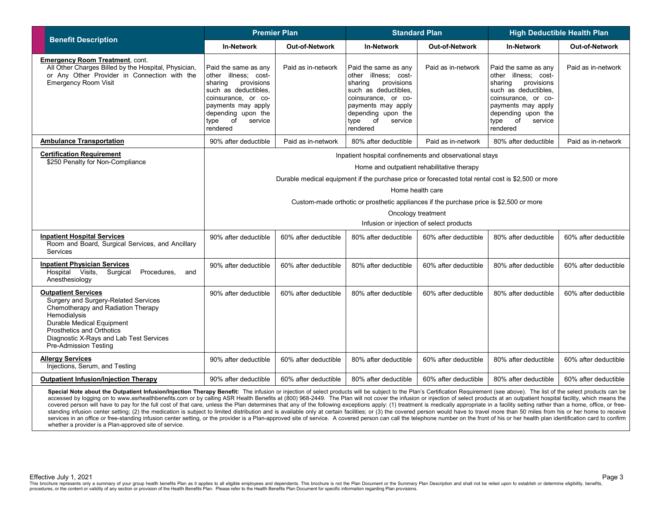| <b>Benefit Description</b>                                                                                                                                                                                                                                    | <b>Premier Plan</b>                                                                                                                                                                                         |                       | <b>Standard Plan</b>                                                                                                                                                                                          |                       | <b>High Deductible Health Plan</b>                                                                                                                                                                 |                      |
|---------------------------------------------------------------------------------------------------------------------------------------------------------------------------------------------------------------------------------------------------------------|-------------------------------------------------------------------------------------------------------------------------------------------------------------------------------------------------------------|-----------------------|---------------------------------------------------------------------------------------------------------------------------------------------------------------------------------------------------------------|-----------------------|----------------------------------------------------------------------------------------------------------------------------------------------------------------------------------------------------|----------------------|
|                                                                                                                                                                                                                                                               | <b>In-Network</b>                                                                                                                                                                                           | <b>Out-of-Network</b> | <b>In-Network</b>                                                                                                                                                                                             | <b>Out-of-Network</b> | <b>In-Network</b>                                                                                                                                                                                  | Out-of-Network       |
| <b>Emergency Room Treatment, cont.</b><br>All Other Charges Billed by the Hospital, Physician,<br>or Any Other Provider in Connection with the<br><b>Emergency Room Visit</b>                                                                                 | Paid the same as any<br>other illness; cost-<br>sharing<br>provisions<br>such as deductibles,<br>coinsurance, or co-<br>payments may apply<br>depending upon the<br>of<br>service<br>type<br>rendered       | Paid as in-network    | Paid the same as any<br>other illness; cost-<br>sharing<br>provisions<br>such as deductibles,<br>coinsurance, or co-<br>payments may apply<br>depending upon the<br>$\circ$ of<br>type<br>service<br>rendered | Paid as in-network    | Paid the same as any<br>other illness; cost-<br>sharing<br>provisions<br>such as deductibles,<br>coinsurance, or co-<br>payments may apply<br>depending upon the<br>type of<br>service<br>rendered | Paid as in-network   |
| <b>Ambulance Transportation</b>                                                                                                                                                                                                                               | 90% after deductible                                                                                                                                                                                        | Paid as in-network    | 80% after deductible                                                                                                                                                                                          | Paid as in-network    | 80% after deductible                                                                                                                                                                               | Paid as in-network   |
| <b>Certification Requirement</b><br>\$250 Penalty for Non-Compliance                                                                                                                                                                                          | Inpatient hospital confinements and observational stays<br>Home and outpatient rehabilitative therapy<br>Durable medical equipment if the purchase price or forecasted total rental cost is \$2,500 or more |                       |                                                                                                                                                                                                               |                       |                                                                                                                                                                                                    |                      |
|                                                                                                                                                                                                                                                               | Home health care                                                                                                                                                                                            |                       |                                                                                                                                                                                                               |                       |                                                                                                                                                                                                    |                      |
|                                                                                                                                                                                                                                                               | Custom-made orthotic or prosthetic appliances if the purchase price is \$2,500 or more                                                                                                                      |                       |                                                                                                                                                                                                               |                       |                                                                                                                                                                                                    |                      |
|                                                                                                                                                                                                                                                               | Oncology treatment<br>Infusion or injection of select products                                                                                                                                              |                       |                                                                                                                                                                                                               |                       |                                                                                                                                                                                                    |                      |
| <b>Inpatient Hospital Services</b><br>Room and Board, Surgical Services, and Ancillary<br>Services                                                                                                                                                            | 90% after deductible                                                                                                                                                                                        | 60% after deductible  | 80% after deductible                                                                                                                                                                                          | 60% after deductible  | 80% after deductible                                                                                                                                                                               | 60% after deductible |
| <b>Inpatient Physician Services</b><br>Hospital Visits,<br>Surgical<br>Procedures,<br>and<br>Anesthesiology                                                                                                                                                   | 90% after deductible                                                                                                                                                                                        | 60% after deductible  | 80% after deductible                                                                                                                                                                                          | 60% after deductible  | 80% after deductible                                                                                                                                                                               | 60% after deductible |
| <b>Outpatient Services</b><br>Surgery and Surgery-Related Services<br>Chemotherapy and Radiation Therapy<br>Hemodialysis<br>Durable Medical Equipment<br>Prosthetics and Orthotics<br>Diagnostic X-Rays and Lab Test Services<br><b>Pre-Admission Testing</b> | 90% after deductible                                                                                                                                                                                        | 60% after deductible  | 80% after deductible                                                                                                                                                                                          | 60% after deductible  | 80% after deductible                                                                                                                                                                               | 60% after deductible |
| <b>Allergy Services</b><br>Injections, Serum, and Testing                                                                                                                                                                                                     | 90% after deductible                                                                                                                                                                                        | 60% after deductible  | 80% after deductible                                                                                                                                                                                          | 60% after deductible  | 80% after deductible                                                                                                                                                                               | 60% after deductible |
| <b>Outpatient Infusion/Injection Therapy</b>                                                                                                                                                                                                                  | 90% after deductible                                                                                                                                                                                        | 60% after deductible  | 80% after deductible                                                                                                                                                                                          | 60% after deductible  | 80% after deductible                                                                                                                                                                               | 60% after deductible |

Special Note about the Outpatient Infusion/Injection Therapy Benefit: The infusion or injection of select products will be subject to the Plan's Certification Requirement (see above). The list of the select products can be accessed by logging on to www.asrhealthbenefits.com or by calling ASR Health Benefits at (800) 968-2449. The Plan will not cover the infusion or injection of select products at an outpatient hospital facility, which means covered person will have to pay for the full cost of that care, unless the Plan determines that any of the following exceptions apply: (1) treatment is medically appropriate in a facility setting rather than a home, office standing infusion center setting; (2) the medication is subject to limited distribution and is available only at certain facilities; or (3) the covered person would have to travel more than 50 miles from his or her home to services in an office or free-standing infusion center setting, or the provider is a Plan-approved site of service. A covered person can call the telephone number on the front of his or her health plan identification card whether a provider is a Plan-approved site of service.

Effective July 1, 2021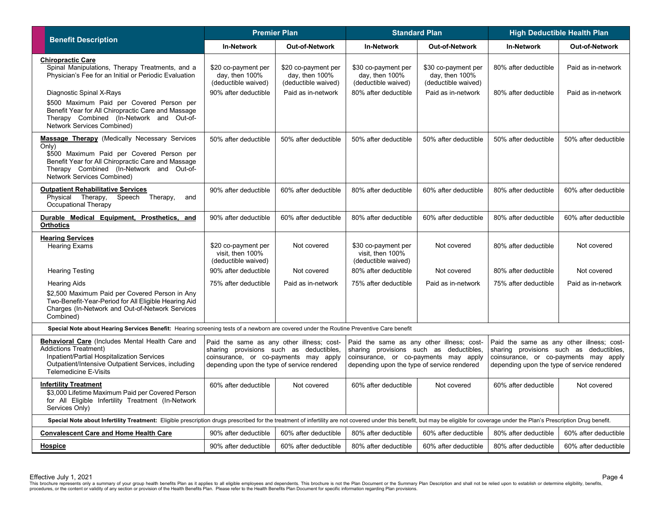| <b>Premier Plan</b><br><b>Benefit Description</b>                                                                                                                                                                                                 |                                                                                                                                                                              | <b>Standard Plan</b>                                         |                                                                                                                                                                              | <b>High Deductible Health Plan</b>                              |                                                                                                                                                                              |                       |
|---------------------------------------------------------------------------------------------------------------------------------------------------------------------------------------------------------------------------------------------------|------------------------------------------------------------------------------------------------------------------------------------------------------------------------------|--------------------------------------------------------------|------------------------------------------------------------------------------------------------------------------------------------------------------------------------------|-----------------------------------------------------------------|------------------------------------------------------------------------------------------------------------------------------------------------------------------------------|-----------------------|
|                                                                                                                                                                                                                                                   | <b>In-Network</b>                                                                                                                                                            | Out-of-Network                                               | <b>In-Network</b>                                                                                                                                                            | Out-of-Network                                                  | <b>In-Network</b>                                                                                                                                                            | <b>Out-of-Network</b> |
| <b>Chiropractic Care</b><br>Spinal Manipulations, Therapy Treatments, and a<br>Physician's Fee for an Initial or Periodic Evaluation                                                                                                              | \$20 co-payment per<br>day, then $100\%$<br>(deductible waived)                                                                                                              | \$20 co-payment per<br>day, then 100%<br>(deductible waived) | \$30 co-payment per<br>day, then $100\%$<br>(deductible waived)                                                                                                              | \$30 co-payment per<br>day, then $100\%$<br>(deductible waived) | 80% after deductible                                                                                                                                                         | Paid as in-network    |
| Diagnostic Spinal X-Rays<br>\$500 Maximum Paid per Covered Person per<br>Benefit Year for All Chiropractic Care and Massage<br>Therapy Combined (In-Network and Out-of-<br>Network Services Combined)                                             | 90% after deductible                                                                                                                                                         | Paid as in-network                                           | 80% after deductible                                                                                                                                                         | Paid as in-network                                              | 80% after deductible                                                                                                                                                         | Paid as in-network    |
| <b>Massage Therapy</b> (Medically Necessary Services<br>Only)<br>\$500 Maximum Paid per Covered Person per<br>Benefit Year for All Chiropractic Care and Massage<br>Therapy Combined (In-Network and Out-of-<br><b>Network Services Combined)</b> | 50% after deductible                                                                                                                                                         | 50% after deductible                                         | 50% after deductible                                                                                                                                                         | 50% after deductible                                            | 50% after deductible                                                                                                                                                         | 50% after deductible  |
| <b>Outpatient Rehabilitative Services</b><br>Physical Therapy,<br>Speech Therapy,<br>and<br>Occupational Therapy                                                                                                                                  | 90% after deductible                                                                                                                                                         | 60% after deductible                                         | 80% after deductible                                                                                                                                                         | 60% after deductible                                            | 80% after deductible                                                                                                                                                         | 60% after deductible  |
| Durable Medical Equipment, Prosthetics, and<br><b>Orthotics</b>                                                                                                                                                                                   | 90% after deductible                                                                                                                                                         | 60% after deductible                                         | 80% after deductible                                                                                                                                                         | 60% after deductible                                            | 80% after deductible                                                                                                                                                         | 60% after deductible  |
| <b>Hearing Services</b><br><b>Hearing Exams</b>                                                                                                                                                                                                   | \$20 co-payment per<br>visit. then 100%<br>(deductible waived)                                                                                                               | Not covered                                                  | \$30 co-payment per<br>visit. then 100%<br>(deductible waived)                                                                                                               | Not covered                                                     | 80% after deductible                                                                                                                                                         | Not covered           |
| <b>Hearing Testing</b>                                                                                                                                                                                                                            | 90% after deductible                                                                                                                                                         | Not covered                                                  | 80% after deductible                                                                                                                                                         | Not covered                                                     | 80% after deductible                                                                                                                                                         | Not covered           |
| <b>Hearing Aids</b><br>\$2,500 Maximum Paid per Covered Person in Any<br>Two-Benefit-Year-Period for All Eligible Hearing Aid<br>Charges (In-Network and Out-of-Network Services<br>Combined)                                                     | 75% after deductible                                                                                                                                                         | Paid as in-network                                           | 75% after deductible                                                                                                                                                         | Paid as in-network                                              | 75% after deductible                                                                                                                                                         | Paid as in-network    |
| Special Note about Hearing Services Benefit: Hearing screening tests of a newborn are covered under the Routine Preventive Care benefit                                                                                                           |                                                                                                                                                                              |                                                              |                                                                                                                                                                              |                                                                 |                                                                                                                                                                              |                       |
| Behavioral Care (Includes Mental Health Care and<br>Addictions Treatment)<br>Inpatient/Partial Hospitalization Services<br>Outpatient/Intensive Outpatient Services, including<br>Telemedicine E-Visits                                           | Paid the same as any other illness; cost-<br>sharing provisions such as deductibles,<br>coinsurance, or co-payments may apply<br>depending upon the type of service rendered |                                                              | Paid the same as any other illness; cost-<br>sharing provisions such as deductibles,<br>coinsurance, or co-payments may apply<br>depending upon the type of service rendered |                                                                 | Paid the same as any other illness; cost-<br>sharing provisions such as deductibles,<br>coinsurance, or co-payments may apply<br>depending upon the type of service rendered |                       |
| <b>Infertility Treatment</b><br>\$3,000 Lifetime Maximum Paid per Covered Person<br>for All Eligible Infertility Treatment (In-Network<br>Services Only)                                                                                          | 60% after deductible                                                                                                                                                         | Not covered                                                  | 60% after deductible                                                                                                                                                         | Not covered                                                     | 60% after deductible                                                                                                                                                         | Not covered           |
| Special Note about Infertility Treatment: Eligible prescription drugs prescribed for the treatment of infertility are not covered under this benefit, but may be eligible for coverage under the Plan's Prescription Drug bene                    |                                                                                                                                                                              |                                                              |                                                                                                                                                                              |                                                                 |                                                                                                                                                                              |                       |
| <b>Convalescent Care and Home Health Care</b>                                                                                                                                                                                                     | 90% after deductible                                                                                                                                                         | 60% after deductible                                         | 80% after deductible                                                                                                                                                         | 60% after deductible                                            | 80% after deductible                                                                                                                                                         | 60% after deductible  |
| <u>Hospice</u>                                                                                                                                                                                                                                    | 90% after deductible                                                                                                                                                         | 60% after deductible                                         | 80% after deductible                                                                                                                                                         | 60% after deductible                                            | 80% after deductible                                                                                                                                                         | 60% after deductible  |

Effective July 1, 2021<br>This brochure represents only a summary of your group health benefits Plan as it applies to all eligible employees and dependents. This brochure is not the Plan Document or the Summary Plan Descripti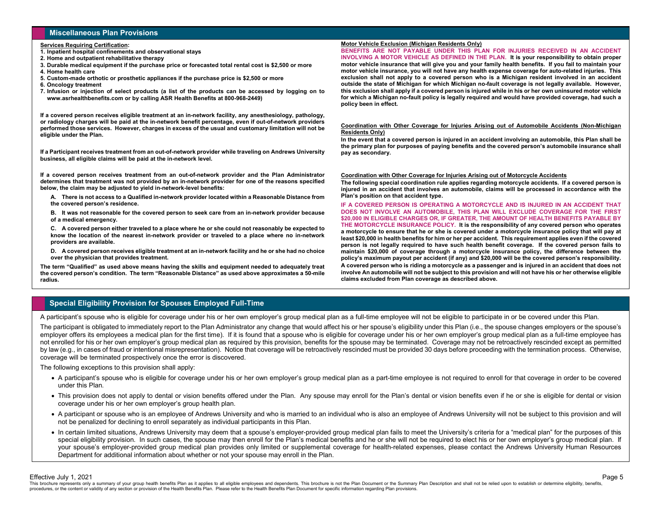# **Miscellaneous Plan Provisions**

#### **Services Requiring Certification:**

- **1. Inpatient hospital confinements and observational stays**
- **2. Home and outpatient rehabilitative therapy**
- **3. Durable medical equipment if the purchase price or forecasted total rental cost is \$2,500 or more**
- **4. Home health care**
- **5. Custom-made orthotic or prosthetic appliances if the purchase price is \$2,500 or more**
- **6. Oncology treatment**
- **7. Infusion or injection of select products (a list of the products can be accessed by logging on to www.asrhealthbenefits.com or by calling ASR Health Benefits at 800-968-2449)**

**If a covered person receives eligible treatment at an in-network facility, any anesthesiology, pathology, or radiology charges will be paid at the in-network benefit percentage, even if out-of-network providers performed those services. However, charges in excess of the usual and customary limitation will not be eligible under the Plan.**

**If a Participant receives treatment from an out-of-network provider while traveling on Andrews University business, all eligible claims will be paid at the in-network level.**

**If a covered person receives treatment from an out-of-network provider and the Plan Administrator determines that treatment was not provided by an in-network provider for one of the reasons specified below, the claim may be adjusted to yield in-network-level benefits:**

**A. There is not access to a Qualified in-network provider located within a Reasonable Distance from the covered person's residence.**

**B. It was not reasonable for the covered person to seek care from an in-network provider because of a medical emergency.**

**C. A covered person either traveled to a place where he or she could not reasonably be expected to know the location of the nearest in-network provider or traveled to a place where no in-network providers are available.**

**D. A covered person receives eligible treatment at an in-network facility and he or she had no choice over the physician that provides treatment.**

**The term "Qualified" as used above means having the skills and equipment needed to adequately treat the covered person's condition. The term "Reasonable Distance" as used above approximates a 50-mile radius.**

### **Motor Vehicle Exclusion (Michigan Residents Only)**

**BENEFITS ARE NOT PAYABLE UNDER THIS PLAN FOR INJURIES RECEIVED IN AN ACCIDENT INVOLVING A MOTOR VEHICLE AS DEFINED IN THE PLAN. It is your responsibility to obtain proper** 

**motor vehicle insurance that will give you and your family health benefits. If you fail to maintain your motor vehicle insurance, you will not have any health expense coverage for auto-related injuries. This exclusion shall not apply to a covered person who is a Michigan resident involved in an accident outside the state of Michigan for which Michigan no-fault coverage is not legally available. However, this exclusion shall apply if a covered person is injured while in his or her own uninsured motor vehicle for which a Michigan no-fault policy is legally required and would have provided coverage, had such a policy been in effect.**

#### **Coordination with Other Coverage for Injuries Arising out of Automobile Accidents (Non-Michigan Residents Only)**

**In the event that a covered person is injured in an accident involving an automobile, this Plan shall be the primary plan for purposes of paying benefits and the covered person's automobile insurance shall pay as secondary.**

#### **Coordination with Other Coverage for Injuries Arising out of Motorcycle Accidents**

**The following special coordination rule applies regarding motorcycle accidents. If a covered person is injured in an accident that involves an automobile, claims will be processed in accordance with the Plan's position on that accident type.**

**IF A COVERED PERSON IS OPERATING A MOTORCYCLE AND IS INJURED IN AN ACCIDENT THAT DOES NOT INVOLVE AN AUTOMOBILE, THIS PLAN WILL EXCLUDE COVERAGE FOR THE FIRST \$20,000 IN ELIGIBLE CHARGES OR, IF GREATER, THE AMOUNT OF HEALTH BENEFITS PAYABLE BY THE MOTORCYCLE INSURANCE POLICY. It is the responsibility of any covered person who operates a motorcycle to ensure that he or she is covered under a motorcycle insurance policy that will pay at least \$20,000 in health benefits for him or her per accident. This requirement applies even if the covered person is not legally required to have such health benefit coverage. If the covered person fails to maintain \$20,000 of coverage through a motorcycle insurance policy, the difference between the policy's maximum payout per accident (if any) and \$20,000 will be the covered person's responsibility. A covered person who is riding a motorcycle as a passenger and is injured in an accident that does not involve An automobile will not be subject to this provision and will not have his or her otherwise eligible claims excluded from Plan coverage as described above.**

Page 5

# **Special Eligibility Provision for Spouses Employed Full-Time**

A participant's spouse who is eligible for coverage under his or her own employer's group medical plan as a full-time employee will not be eligible to participate in or be covered under this Plan.

The participant is obligated to immediately report to the Plan Administrator any change that would affect his or her spouse's eligibility under this Plan (i.e., the spouse changes employers or the spouse's employer offers its employees a medical plan for the first time). If it is found that a spouse who is eligible for coverage under his or her own employer's group medical plan as a full-time employee has not enrolled for his or her own employer's group medical plan as required by this provision, benefits for the spouse may be terminated. Coverage may not be retroactively rescinded except as permitted by law (e.g., in cases of fraud or intentional misrepresentation). Notice that coverage will be retroactively rescinded must be provided 30 days before proceeding with the termination process. Otherwise, coverage will be terminated prospectively once the error is discovered.

The following exceptions to this provision shall apply:

- A participant's spouse who is eligible for coverage under his or her own employer's group medical plan as a part-time employee is not required to enroll for that coverage in order to be covered under this Plan.
- This provision does not apply to dental or vision benefits offered under the Plan. Any spouse may enroll for the Plan's dental or vision benefits even if he or she is eligible for dental or vision coverage under his or her own employer's group health plan.
- A participant or spouse who is an employee of Andrews University and who is married to an individual who is also an employee of Andrews University will not be subject to this provision and will not be penalized for declining to enroll separately as individual participants in this Plan.
- In certain limited situations, Andrews University may deem that a spouse's employer-provided group medical plan fails to meet the University's criteria for a "medical plan" for the purposes of this special eligibility provision. In such cases, the spouse may then enroll for the Plan's medical benefits and he or she will not be required to elect his or her own employer's group medical plan. If your spouse's employer-provided group medical plan provides only limited or supplemental coverage for health-related expenses, please contact the Andrews University Human Resources Department for additional information about whether or not your spouse may enroll in the Plan.

Effective July 1, 2021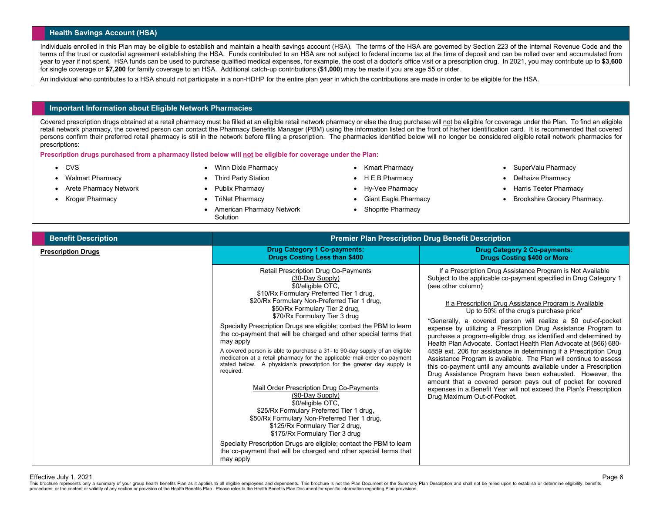# **Health Savings Account (HSA)**

Individuals enrolled in this Plan may be eligible to establish and maintain a health savings account (HSA). The terms of the HSA are governed by Section 223 of the Internal Revenue Code and the terms of the trust or custodial agreement establishing the HSA. Funds contributed to an HSA are not subject to federal income tax at the time of deposit and can be rolled over and accumulated from year to year if not spent. HSA funds can be used to purchase qualified medical expenses, for example, the cost of a doctor's office visit or a prescription drug. In 2021, you may contribute up to **\$3,600** for single coverage or **\$7,200** for family coverage to an HSA. Additional catch-up contributions (**\$1,000**) may be made if you are age 55 or older.

An individual who contributes to a HSA should not participate in a non-HDHP for the entire plan year in which the contributions are made in order to be eligible for the HSA.

## **Important Information about Eligible Network Pharmacies**

Covered prescription drugs obtained at a retail pharmacy must be filled at an eligible retail network pharmacy or else the drug purchase will not be eligible for coverage under the Plan. To find an eligible logitule retail network pharmacy, the covered person can contact the Pharmacy Benefits Manager (PBM) using the information listed on the front of his/her identification card. It is recommended that covered persons confirm their preferred retail pharmacy is still in the network before filling a prescription. The pharmacies identified below will no longer be considered eligible retail network pharmacies for prescriptions:

**Prescription drugs purchased from a pharmacy listed below will not be eligible for coverage under the Plan:**

- CVS
- Walmart Pharmacy
- Arete Pharmacy Network
- Kroger Pharmacy
- Winn Dixie Pharmacy
- Third Party Station
- Publix Pharmacy
- TriNet Pharmacy
- American Pharmacy Network **Solution**
- Kmart Pharmacy
- H E B Pharmacy
- Hy-Vee Pharmacy
- Giant Eagle Pharmacy
- Shoprite Pharmacy
- SuperValu Pharmacy
- Delhaize Pharmacy
- Harris Teeter Pharmacy
- Brookshire Grocery Pharmacy.

| <b>Benefit Description</b> | <b>Premier Plan Prescription Drug Benefit Description</b>                                                                                                                                                                                                                                                                                                                                                                                                                                                                                                                                                                                                                                                                                                                                                                                                                                                                                                                                                                                                         |                                                                                                                                                                                                                                                                                                                                                                                                                                                                                                                                                                                                                                                                                                                                                                                                                                                                                                                                                                                        |  |
|----------------------------|-------------------------------------------------------------------------------------------------------------------------------------------------------------------------------------------------------------------------------------------------------------------------------------------------------------------------------------------------------------------------------------------------------------------------------------------------------------------------------------------------------------------------------------------------------------------------------------------------------------------------------------------------------------------------------------------------------------------------------------------------------------------------------------------------------------------------------------------------------------------------------------------------------------------------------------------------------------------------------------------------------------------------------------------------------------------|----------------------------------------------------------------------------------------------------------------------------------------------------------------------------------------------------------------------------------------------------------------------------------------------------------------------------------------------------------------------------------------------------------------------------------------------------------------------------------------------------------------------------------------------------------------------------------------------------------------------------------------------------------------------------------------------------------------------------------------------------------------------------------------------------------------------------------------------------------------------------------------------------------------------------------------------------------------------------------------|--|
| <b>Prescription Drugs</b>  | <b>Drug Category 1 Co-payments:</b><br><b>Drugs Costing Less than \$400</b>                                                                                                                                                                                                                                                                                                                                                                                                                                                                                                                                                                                                                                                                                                                                                                                                                                                                                                                                                                                       | <b>Drug Category 2 Co-payments:</b><br><b>Drugs Costing \$400 or More</b>                                                                                                                                                                                                                                                                                                                                                                                                                                                                                                                                                                                                                                                                                                                                                                                                                                                                                                              |  |
|                            | Retail Prescription Drug Co-Payments<br>(30-Day Supply)<br>\$0/eligible OTC,<br>\$10/Rx Formulary Preferred Tier 1 drug,<br>\$20/Rx Formulary Non-Preferred Tier 1 drug,<br>\$50/Rx Formulary Tier 2 drug,<br>\$70/Rx Formulary Tier 3 drug<br>Specialty Prescription Drugs are eligible; contact the PBM to learn<br>the co-payment that will be charged and other special terms that<br>may apply<br>A covered person is able to purchase a 31- to 90-day supply of an eligible<br>medication at a retail pharmacy for the applicable mail-order co-payment<br>stated below. A physician's prescription for the greater day supply is<br>required.<br>Mail Order Prescription Drug Co-Payments<br>(90-Day Supply)<br>\$0/eligible OTC,<br>\$25/Rx Formulary Preferred Tier 1 drug,<br>\$50/Rx Formulary Non-Preferred Tier 1 drug,<br>\$125/Rx Formulary Tier 2 drug,<br>\$175/Rx Formulary Tier 3 drug<br>Specialty Prescription Drugs are eligible; contact the PBM to learn<br>the co-payment that will be charged and other special terms that<br>may apply | If a Prescription Drug Assistance Program is Not Available<br>Subject to the applicable co-payment specified in Drug Category 1<br>(see other column)<br>If a Prescription Drug Assistance Program is Available<br>Up to 50% of the drug's purchase price*<br>*Generally, a covered person will realize a \$0 out-of-pocket<br>expense by utilizing a Prescription Drug Assistance Program to<br>purchase a program-eligible drug, as identified and determined by<br>Health Plan Advocate. Contact Health Plan Advocate at (866) 680-<br>4859 ext. 206 for assistance in determining if a Prescription Drug<br>Assistance Program is available. The Plan will continue to assess<br>this co-payment until any amounts available under a Prescription<br>Drug Assistance Program have been exhausted. However, the<br>amount that a covered person pays out of pocket for covered<br>expenses in a Benefit Year will not exceed the Plan's Prescription<br>Drug Maximum Out-of-Pocket. |  |

#### Effective July 1, 2021

This brochure represents only a summary of your group health benefits Plan as it applies to all eligible employees and dependents. This brochure is not the Plan Document or the Summary Plan Description and shall not be rel procedures, or the content or validity of any section or provision of the Health Benefits Plan. Please refer to the Health Benefits Plan Document for specific information regarding Plan provisions.

Page 6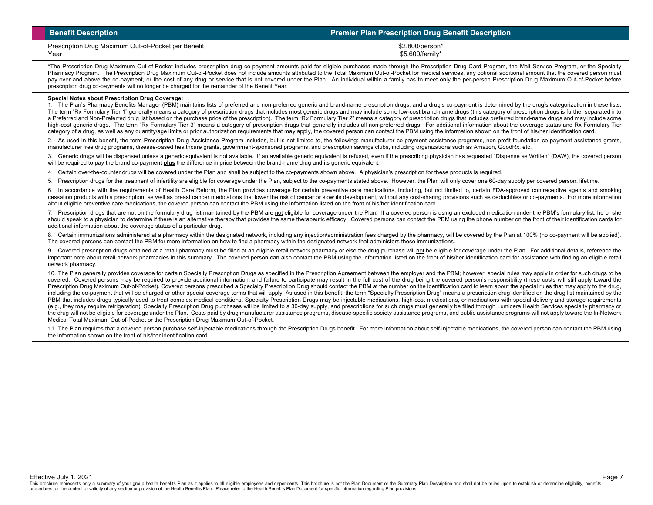| <b>Benefit Description</b>                          | <b>Premier Plan Prescription Drug Benefit Description</b> |
|-----------------------------------------------------|-----------------------------------------------------------|
| Prescription Drug Maximum Out-of-Pocket per Benefit | \$2,800/person*                                           |
| Year                                                | \$5,600/family*                                           |

\*The Prescription Drug Maximum Out-of-Pocket includes prescription drug co-payment amounts paid for eligible purchases made through the Prescription Drug Card Program, the Mail Service Program, or the Specialty Pharmacy Program. The Prescription Drug Maximum Out-of-Pocket does not include amounts attributed to the Total Maximum Out-of-Pocket for medical services, any optional additional amount that the covered person must pay over and above the co-payment, or the cost of any drug or service that is not covered under the Plan. An individual within a family has to meet only the per-person Prescription Drug Maximum Out-of-Pocket before prescription drug co-payments will no longer be charged for the remainder of the Benefit Year.

#### **Special Notes about Prescription Drug Coverage:**

1. The Plan's Pharmacy Benefits Manager (PBM) maintains lists of preferred and non-preferred generic and brand-name prescription drugs, and a drug's co-payment is determined by the drug's categorization in these lists. The term "Rx Formulary Tier 1" generally means a category of prescription drugs that includes most generic drugs and may include some low-cost brand-name drugs (this category of prescription drugs is further separated into a Preferred and Non-Preferred drug list based on the purchase price of the prescription). The term "Rx Formulary Tier 2" means a category of prescription drugs that includes preferred brand-name drugs and may include some high-cost generic drugs. The term "Rx Formulary Tier 3" means a category of prescription drugs that generally includes all non-preferred drugs. For additional information about the coverage status and Rx Formulary Tier category of a drug, as well as any quantity/age limits or prior authorization requirements that may apply, the covered person can contact the PBM using the information shown on the front of his/her identification card.

2. As used in this benefit, the term Prescription Drug Assistance Program includes, but is not limited to, the following: manufacturer co-payment assistance programs, non-profit foundation co-payment assistance grants, manufacturer free drug programs, disease-based healthcare grants, government-sponsored programs, and prescription savings clubs, including organizations such as Amazon, GoodRx, etc.

3. Generic drugs will be dispensed unless a generic equivalent is not available. If an available generic equivalent is refused, even if the prescribing physician has requested "Dispense as Written" (DAW), the covered person will be required to pay the brand co-payment **plus** the difference in price between the brand-name drug and its generic equivalent.

4. Certain over-the-counter drugs will be covered under the Plan and shall be subject to the co-payments shown above. A physician's prescription for these products is required.

5. Prescription drugs for the treatment of infertility are eligible for coverage under the Plan, subject to the co-payments stated above. However, the Plan will only cover one 60-day supply per covered person, lifetime.

6. In accordance with the requirements of Health Care Reform, the Plan provides coverage for certain preventive care medications, including, but not limited to, certain FDA-approved contraceptive agents and smoking cessation products with a prescription, as well as breast cancer medications that lower the risk of cancer or slow its development, without any cost-sharing provisions such as deductibles or co-payments. For more information about eligible preventive care medications, the covered person can contact the PBM using the information listed on the front of his/her identification card.

7. Prescription drugs that are not on the formulary drug list maintained by the PBM are not eligible for coverage under the Plan. If a covered person is using an excluded medication under the PBM's formulary list, he or she should speak to a physician to determine if there is an alternative therapy that provides the same therapeutic efficacy. Covered persons can contact the PBM using the phone number on the front of their identification cards additional information about the coverage status of a particular drug.

8. Certain immunizations administered at a pharmacy within the designated network, including any injection/administration fees charged by the pharmacy, will be covered by the Plan at 100% (no co-payment will be applied). The covered persons can contact the PBM for more information on how to find a pharmacy within the designated network that administers these immunizations.

9. Covered prescription drugs obtained at a retail pharmacy must be filled at an eligible retail network pharmacy or else the drug purchase will not be eligible for coverage under the Plan. For additional details, referenc important note about retail network pharmacies in this summary. The covered person can also contact the PBM using the information listed on the front of his/her identification card for assistance with finding an eligible r network pharmacy.

10. The Plan generally provides coverage for certain Specialty Prescription Drugs as specified in the Prescription Agreement between the employer and the PBM; however, special rules may apply in order for such drugs to be covered. Covered persons may be required to provide additional information, and failure to participate may result in the full cost of the drug being the covered person's responsibility (these costs will still apply toward Prescription Drug Maximum Out-of-Pocket). Covered persons prescribed a Specialty Prescription Drug should contact the PBM at the number on the identification card to learn about the special rules that may apply to the drug including the co-payment that will be charged or other special coverage terms that will apply. As used in this benefit, the term "Specialty Prescription Drug" means a prescription drug identified on the drug list maintaine PBM that includes drugs typically used to treat complex medical conditions. Specialty Prescription Drugs may be injectable medications, high-cost medications, or medications with special delivery and storage requirements (e.g., they may require refrigeration). Specialty Prescription Drug purchases will be limited to a 30-day supply, and prescriptions for such drugs must generally be filled through Lumicera Health Services specialty pharmac the drug will not be eligible for coverage under the Plan. Costs paid by drug manufacturer assistance programs, disease-specific society assistance programs, and public assistance programs will not apply toward the In-Netw Medical Total Maximum Out-of-Pocket or the Prescription Drug Maximum Out-of-Pocket.

11. The Plan requires that a covered person purchase self-injectable medications through the Prescription Drugs benefit. For more information about self-injectable medications, the covered person can contact the PBM using the information shown on the front of his/her identification card.

This brochure represents only a summary of your group health benefits Plan as it applies to all eligible employees and dependents. This brochure is not the Plan Document or the Summary Plan Description and shall not be rel procedures, or the content or validity of any section or provision of the Health Benefits Plan. Please refer to the Health Benefits Plan Document for specific information regarding Plan provisions.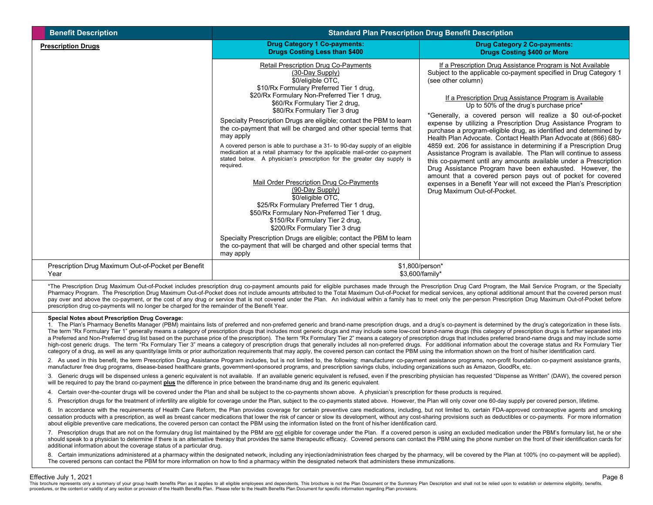| <b>Benefit Description</b>                                  |                                                                                                                                                                                                                                                                                                                                                                                                                                                                                                                                                                                                                                                                                                                                                                                                                                                                                                                                                                                                                                                                          | <b>Standard Plan Prescription Drug Benefit Description</b>                                                                                                                                                                                                                                                                                                                                                                                                                                                                                                                                                                                                                                                                                                                                                                                                                                                                                                                             |
|-------------------------------------------------------------|--------------------------------------------------------------------------------------------------------------------------------------------------------------------------------------------------------------------------------------------------------------------------------------------------------------------------------------------------------------------------------------------------------------------------------------------------------------------------------------------------------------------------------------------------------------------------------------------------------------------------------------------------------------------------------------------------------------------------------------------------------------------------------------------------------------------------------------------------------------------------------------------------------------------------------------------------------------------------------------------------------------------------------------------------------------------------|----------------------------------------------------------------------------------------------------------------------------------------------------------------------------------------------------------------------------------------------------------------------------------------------------------------------------------------------------------------------------------------------------------------------------------------------------------------------------------------------------------------------------------------------------------------------------------------------------------------------------------------------------------------------------------------------------------------------------------------------------------------------------------------------------------------------------------------------------------------------------------------------------------------------------------------------------------------------------------------|
| <b>Prescription Drugs</b>                                   | <b>Drug Category 1 Co-payments:</b><br><b>Drugs Costing Less than \$400</b>                                                                                                                                                                                                                                                                                                                                                                                                                                                                                                                                                                                                                                                                                                                                                                                                                                                                                                                                                                                              | <b>Drug Category 2 Co-payments:</b><br><b>Drugs Costing \$400 or More</b>                                                                                                                                                                                                                                                                                                                                                                                                                                                                                                                                                                                                                                                                                                                                                                                                                                                                                                              |
|                                                             | <b>Retail Prescription Drug Co-Payments</b><br>(30-Day Supply)<br>\$0/eligible OTC,<br>\$10/Rx Formulary Preferred Tier 1 drug,<br>\$20/Rx Formulary Non-Preferred Tier 1 drug,<br>\$60/Rx Formulary Tier 2 drug,<br>\$80/Rx Formulary Tier 3 drug<br>Specialty Prescription Drugs are eligible; contact the PBM to learn<br>the co-payment that will be charged and other special terms that<br>may apply<br>A covered person is able to purchase a 31- to 90-day supply of an eligible<br>medication at a retail pharmacy for the applicable mail-order co-payment<br>stated below. A physician's prescription for the greater day supply is<br>required.<br>Mail Order Prescription Drug Co-Payments<br>(90-Day Supply)<br>\$0/eligible OTC,<br>\$25/Rx Formulary Preferred Tier 1 drug,<br>\$50/Rx Formulary Non-Preferred Tier 1 drug,<br>\$150/Rx Formulary Tier 2 drug,<br>\$200/Rx Formulary Tier 3 drug<br>Specialty Prescription Drugs are eligible; contact the PBM to learn<br>the co-payment that will be charged and other special terms that<br>may apply | If a Prescription Drug Assistance Program is Not Available<br>Subject to the applicable co-payment specified in Drug Category 1<br>(see other column)<br>If a Prescription Drug Assistance Program is Available<br>Up to 50% of the drug's purchase price*<br>*Generally, a covered person will realize a \$0 out-of-pocket<br>expense by utilizing a Prescription Drug Assistance Program to<br>purchase a program-eligible drug, as identified and determined by<br>Health Plan Advocate. Contact Health Plan Advocate at (866) 680-<br>4859 ext. 206 for assistance in determining if a Prescription Drug<br>Assistance Program is available. The Plan will continue to assess<br>this co-payment until any amounts available under a Prescription<br>Drug Assistance Program have been exhausted. However, the<br>amount that a covered person pays out of pocket for covered<br>expenses in a Benefit Year will not exceed the Plan's Prescription<br>Drug Maximum Out-of-Pocket. |
| Prescription Drug Maximum Out-of-Pocket per Benefit<br>Year |                                                                                                                                                                                                                                                                                                                                                                                                                                                                                                                                                                                                                                                                                                                                                                                                                                                                                                                                                                                                                                                                          | \$1,800/person*<br>\$3,600/family*                                                                                                                                                                                                                                                                                                                                                                                                                                                                                                                                                                                                                                                                                                                                                                                                                                                                                                                                                     |

\*The Prescription Drug Maximum Out-of-Pocket includes prescription drug co-payment amounts paid for eligible purchases made through the Prescription Drug Card Program, the Mail Service Program, or the Specialty Pharmacy Program. The Prescription Drug Maximum Out-of-Pocket does not include amounts attributed to the Total Maximum Out-of-Pocket for medical services, any optional additional amount that the covered person must pay over and above the co-payment, or the cost of any drug or service that is not covered under the Plan. An individual within a family has to meet only the per-person Prescription Drug Maximum Out-of-Pocket before prescription drug co-payments will no longer be charged for the remainder of the Benefit Year.

### **Special Notes about Prescription Drug Coverage:**

1. The Plan's Pharmacy Benefits Manager (PBM) maintains lists of preferred and non-preferred generic and brand-name prescription drugs, and a drug's co-payment is determined by the drug's categorization in these lists. The term "Rx Formulary Tier 1" generally means a category of prescription drugs that includes most generic drugs and may include some low-cost brand-name drugs (this category of prescription drugs is further separated into a Preferred and Non-Preferred drug list based on the purchase price of the prescription). The term "Rx Formulary Tier 2" means a category of prescription drugs that includes preferred brand-name drugs and may include some high-cost generic drugs. The term "Rx Formulary Tier 3" means a category of prescription drugs that generally includes all non-preferred drugs. For additional information about the coverage status and Rx Formulary Tier category of a drug, as well as any quantity/age limits or prior authorization requirements that may apply, the covered person can contact the PBM using the information shown on the front of his/her identification card.

2. As used in this benefit, the term Prescription Drug Assistance Program includes, but is not limited to, the following: manufacturer co-payment assistance programs, non-profit foundation co-payment assistance grants, manufacturer free drug programs, disease-based healthcare grants, government-sponsored programs, and prescription savings clubs, including organizations such as Amazon, GoodRx, etc.

Generic drugs will be dispensed unless a generic equivalent is not available. If an available generic equivalent is refused, even if the prescribing physician has requested "Dispense as Written" (DAW), the covered person will be required to pay the brand co-payment **plus** the difference in price between the brand-name drug and its generic equivalent.

4. Certain over-the-counter drugs will be covered under the Plan and shall be subject to the co-payments shown above. A physician's prescription for these products is required.

5. Prescription drugs for the treatment of infertility are eligible for coverage under the Plan, subject to the co-payments stated above. However, the Plan will only cover one 60-day supply per covered person, lifetime.

6. In accordance with the requirements of Health Care Reform, the Plan provides coverage for certain preventive care medications, including, but not limited to, certain FDA-approved contraceptive agents and smoking cessation products with a prescription, as well as breast cancer medications that lower the risk of cancer or slow its development, without any cost-sharing provisions such as deductibles or co-payments. For more information about eligible preventive care medications, the covered person can contact the PBM using the information listed on the front of his/her identification card.

7. Prescription drugs that are not on the formulary drug list maintained by the PBM are not eligible for coverage under the Plan. If a covered person is using an excluded medication under the PBM's formulary list, he or she should speak to a physician to determine if there is an alternative therapy that provides the same therapeutic efficacy. Covered persons can contact the PBM using the phone number on the front of their identification cards additional information about the coverage status of a particular drug.

8. Certain immunizations administered at a pharmacy within the designated network, including any injection/administration fees charged by the pharmacy, will be covered by the Plan at 100% (no co-payment will be applied). The covered persons can contact the PBM for more information on how to find a pharmacy within the designated network that administers these immunizations.

### Effective July 1, 2021

This brochure represents only a summary of your group health benefits Plan as it applies to all eligible employees and dependents. This brochure is not the Plan Document or the Summary Plan Description and shall not be rel procedures, or the content or validity of any section or provision of the Health Benefits Plan. Please refer to the Health Benefits Plan Document for specific information regarding Plan provisions.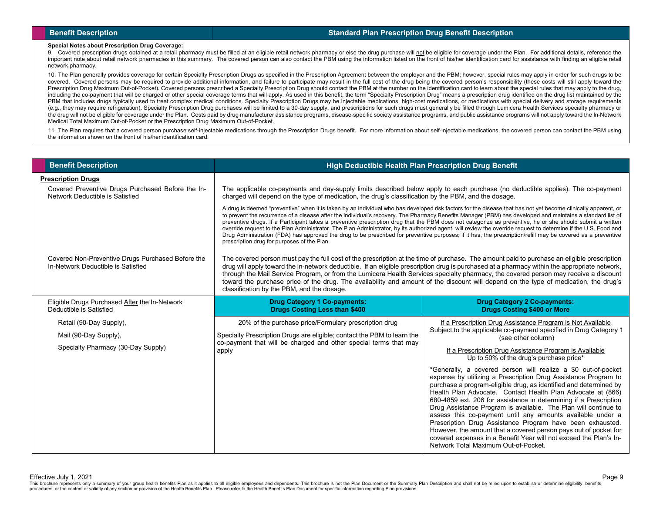# **Benefit Description Standard Plan Prescription Drug Benefit Description**

### **Special Notes about Prescription Drug Coverage:**

9. Covered prescription drugs obtained at a retail pharmacy must be filled at an eligible retail network pharmacy or else the drug purchase will not be eligible for coverage under the Plan. For additional details, referenc important note about retail network pharmacies in this summary. The covered person can also contact the PBM using the information listed on the front of his/her identification card for assistance with finding an eligible r network pharmacy.

10. The Plan generally provides coverage for certain Specialty Prescription Drugs as specified in the Prescription Agreement between the employer and the PBM; however, special rules may apply in order for such drugs to be covered. Covered persons may be required to provide additional information, and failure to participate may result in the full cost of the drug being the covered person's responsibility (these costs will still apply toward Prescription Drug Maximum Out-of-Pocket). Covered persons prescribed a Specialty Prescription Drug should contact the PBM at the number on the identification card to learn about the special rules that may apply to the drug including the co-payment that will be charged or other special coverage terms that will apply. As used in this benefit, the term "Specialty Prescription Drug" means a prescription drug identified on the drug list maintaine PBM that includes drugs typically used to treat complex medical conditions. Specialty Prescription Drugs may be injectable medications, high-cost medications, or medications with special delivery and storage requirements (e.g., they may require refrigeration). Specialty Prescription Drug purchases will be limited to a 30-day supply, and prescriptions for such drugs must generally be filled through Lumicera Health Services specialty pharmac the drug will not be eligible for coverage under the Plan. Costs paid by drug manufacturer assistance programs, disease-specific society assistance programs, and public assistance programs will not apply toward the In-Netw Medical Total Maximum Out-of-Pocket or the Prescription Drug Maximum Out-of-Pocket.

11. The Plan requires that a covered person purchase self-injectable medications through the Prescription Drugs benefit. For more information about self-injectable medications, the covered person can contact the PBM using the information shown on the front of his/her identification card.

| <b>Benefit Description</b>                                                              | High Deductible Health Plan Prescription Drug Benefit                                                                                                                                                                                                                                                                                                                                                                                                                                                                                                                                                                                                                                                                                                                                                                                                                      |                                                                                                                                                                                                                                                                                                                                                                                                                                                                                                                                                                                                                                                                                                                         |  |
|-----------------------------------------------------------------------------------------|----------------------------------------------------------------------------------------------------------------------------------------------------------------------------------------------------------------------------------------------------------------------------------------------------------------------------------------------------------------------------------------------------------------------------------------------------------------------------------------------------------------------------------------------------------------------------------------------------------------------------------------------------------------------------------------------------------------------------------------------------------------------------------------------------------------------------------------------------------------------------|-------------------------------------------------------------------------------------------------------------------------------------------------------------------------------------------------------------------------------------------------------------------------------------------------------------------------------------------------------------------------------------------------------------------------------------------------------------------------------------------------------------------------------------------------------------------------------------------------------------------------------------------------------------------------------------------------------------------------|--|
| <b>Prescription Drugs</b>                                                               |                                                                                                                                                                                                                                                                                                                                                                                                                                                                                                                                                                                                                                                                                                                                                                                                                                                                            |                                                                                                                                                                                                                                                                                                                                                                                                                                                                                                                                                                                                                                                                                                                         |  |
| Covered Preventive Drugs Purchased Before the In-<br>Network Deductible is Satisfied    | The applicable co-payments and day-supply limits described below apply to each purchase (no deductible applies). The co-payment<br>charged will depend on the type of medication, the drug's classification by the PBM, and the dosage.                                                                                                                                                                                                                                                                                                                                                                                                                                                                                                                                                                                                                                    |                                                                                                                                                                                                                                                                                                                                                                                                                                                                                                                                                                                                                                                                                                                         |  |
|                                                                                         | A drug is deemed "preventive" when it is taken by an individual who has developed risk factors for the disease that has not yet become clinically apparent, or<br>to prevent the recurrence of a disease after the individual's recovery. The Pharmacy Benefits Manager (PBM) has developed and maintains a standard list of<br>preventive drugs. If a Participant takes a preventive prescription drug that the PBM does not categorize as preventive, he or she should submit a written<br>override request to the Plan Administrator. The Plan Administrator, by its authorized agent, will review the override request to determine if the U.S. Food and<br>Drug Administration (FDA) has approved the drug to be prescribed for preventive purposes; if it has, the prescription/refill may be covered as a preventive<br>prescription drug for purposes of the Plan. |                                                                                                                                                                                                                                                                                                                                                                                                                                                                                                                                                                                                                                                                                                                         |  |
| Covered Non-Preventive Drugs Purchased Before the<br>In-Network Deductible is Satisfied | The covered person must pay the full cost of the prescription at the time of purchase. The amount paid to purchase an eligible prescription<br>drug will apply toward the in-network deductible. If an eligible prescription drug is purchased at a pharmacy within the appropriate network,<br>through the Mail Service Program, or from the Lumicera Health Services specialty pharmacy, the covered person may receive a discount<br>toward the purchase price of the drug. The availability and amount of the discount will depend on the type of medication, the drug's<br>classification by the PBM, and the dosage.                                                                                                                                                                                                                                                 |                                                                                                                                                                                                                                                                                                                                                                                                                                                                                                                                                                                                                                                                                                                         |  |
| Eligible Drugs Purchased After the In-Network<br>Deductible is Satisfied                | <b>Drug Category 1 Co-payments:</b><br><b>Drugs Costing Less than \$400</b>                                                                                                                                                                                                                                                                                                                                                                                                                                                                                                                                                                                                                                                                                                                                                                                                | <b>Drug Category 2 Co-payments:</b><br><b>Drugs Costing \$400 or More</b>                                                                                                                                                                                                                                                                                                                                                                                                                                                                                                                                                                                                                                               |  |
| Retail (90-Day Supply),                                                                 | 20% of the purchase price/Formulary prescription drug                                                                                                                                                                                                                                                                                                                                                                                                                                                                                                                                                                                                                                                                                                                                                                                                                      | If a Prescription Drug Assistance Program is Not Available                                                                                                                                                                                                                                                                                                                                                                                                                                                                                                                                                                                                                                                              |  |
| Mail (90-Day Supply),                                                                   | Specialty Prescription Drugs are eligible; contact the PBM to learn the                                                                                                                                                                                                                                                                                                                                                                                                                                                                                                                                                                                                                                                                                                                                                                                                    | Subject to the applicable co-payment specified in Drug Category 1<br>(see other column)                                                                                                                                                                                                                                                                                                                                                                                                                                                                                                                                                                                                                                 |  |
| Specialty Pharmacy (30-Day Supply)                                                      | co-payment that will be charged and other special terms that may<br>apply                                                                                                                                                                                                                                                                                                                                                                                                                                                                                                                                                                                                                                                                                                                                                                                                  | If a Prescription Drug Assistance Program is Available<br>Up to 50% of the drug's purchase price*                                                                                                                                                                                                                                                                                                                                                                                                                                                                                                                                                                                                                       |  |
|                                                                                         |                                                                                                                                                                                                                                                                                                                                                                                                                                                                                                                                                                                                                                                                                                                                                                                                                                                                            | *Generally, a covered person will realize a \$0 out-of-pocket<br>expense by utilizing a Prescription Drug Assistance Program to<br>purchase a program-eligible drug, as identified and determined by<br>Health Plan Advocate. Contact Health Plan Advocate at (866)<br>680-4859 ext. 206 for assistance in determining if a Prescription<br>Drug Assistance Program is available. The Plan will continue to<br>assess this co-payment until any amounts available under a<br>Prescription Drug Assistance Program have been exhausted.<br>However, the amount that a covered person pays out of pocket for<br>covered expenses in a Benefit Year will not exceed the Plan's In-<br>Network Total Maximum Out-of-Pocket. |  |

Effective July 1, 2021

This brochure represents only a summary of your group health benefits Plan as it applies to all eligible employees and dependents. This brochure is not the Plan Document or the Summary Plan Description and shall not be rel procedures, or the content or validity of any section or provision of the Health Benefits Plan. Please refer to the Health Benefits Plan Document for specific information regarding Plan provisions.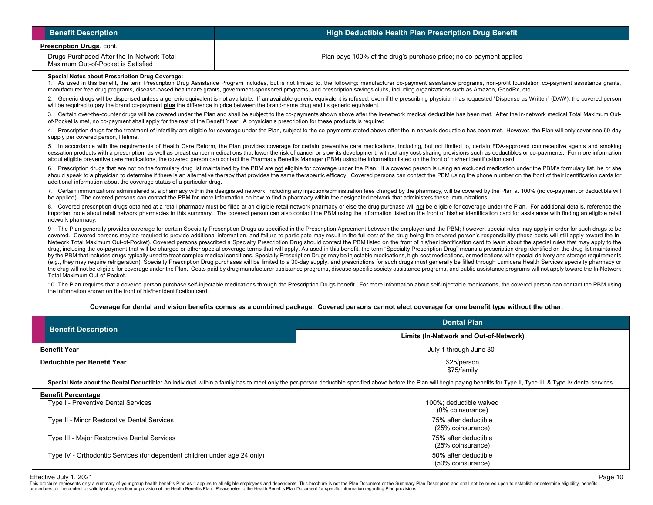| <b>Benefit Description</b>                                                                                                                                                                                                                                                                                                                                                                                                                                                                                                                                                                                                                                                                                                                                                                                                                                                                                                                                                                                                                                                                                                                                                                                                                                                                                                                                                                                                                                                                                                                                                                                                                                             | High Deductible Health Plan Prescription Drug Benefit                                                                                                                                                                                                                                                                                                                 |  |  |  |
|------------------------------------------------------------------------------------------------------------------------------------------------------------------------------------------------------------------------------------------------------------------------------------------------------------------------------------------------------------------------------------------------------------------------------------------------------------------------------------------------------------------------------------------------------------------------------------------------------------------------------------------------------------------------------------------------------------------------------------------------------------------------------------------------------------------------------------------------------------------------------------------------------------------------------------------------------------------------------------------------------------------------------------------------------------------------------------------------------------------------------------------------------------------------------------------------------------------------------------------------------------------------------------------------------------------------------------------------------------------------------------------------------------------------------------------------------------------------------------------------------------------------------------------------------------------------------------------------------------------------------------------------------------------------|-----------------------------------------------------------------------------------------------------------------------------------------------------------------------------------------------------------------------------------------------------------------------------------------------------------------------------------------------------------------------|--|--|--|
| Prescription Drugs, cont.                                                                                                                                                                                                                                                                                                                                                                                                                                                                                                                                                                                                                                                                                                                                                                                                                                                                                                                                                                                                                                                                                                                                                                                                                                                                                                                                                                                                                                                                                                                                                                                                                                              |                                                                                                                                                                                                                                                                                                                                                                       |  |  |  |
| Drugs Purchased After the In-Network Total<br>Maximum Out-of-Pocket is Satisfied                                                                                                                                                                                                                                                                                                                                                                                                                                                                                                                                                                                                                                                                                                                                                                                                                                                                                                                                                                                                                                                                                                                                                                                                                                                                                                                                                                                                                                                                                                                                                                                       | Plan pays 100% of the drug's purchase price; no co-payment applies                                                                                                                                                                                                                                                                                                    |  |  |  |
| <b>Special Notes about Prescription Drug Coverage:</b><br>1. As used in this benefit, the term Prescription Drug Assistance Program includes, but is not limited to, the following: manufacturer co-payment assistance programs, non-profit foundation co-payment assistance grants,<br>manufacturer free drug programs, disease-based healthcare grants, government-sponsored programs, and prescription savings clubs, including organizations such as Amazon, GoodRx, etc.                                                                                                                                                                                                                                                                                                                                                                                                                                                                                                                                                                                                                                                                                                                                                                                                                                                                                                                                                                                                                                                                                                                                                                                          |                                                                                                                                                                                                                                                                                                                                                                       |  |  |  |
| will be required to pay the brand co-payment plus the difference in price between the brand-name drug and its generic equivalent.                                                                                                                                                                                                                                                                                                                                                                                                                                                                                                                                                                                                                                                                                                                                                                                                                                                                                                                                                                                                                                                                                                                                                                                                                                                                                                                                                                                                                                                                                                                                      | 2. Generic drugs will be dispensed unless a generic equivalent is not available. If an available generic equivalent is refused, even if the prescribing physician has requested "Dispense as Written" (DAW), the covered perso                                                                                                                                        |  |  |  |
|                                                                                                                                                                                                                                                                                                                                                                                                                                                                                                                                                                                                                                                                                                                                                                                                                                                                                                                                                                                                                                                                                                                                                                                                                                                                                                                                                                                                                                                                                                                                                                                                                                                                        | 3. Certain over-the-counter drugs will be covered under the Plan and shall be subject to the co-payments shown above after the in-network medical deductible has been met. After the in-network medical Total Maximum Out-<br>of-Pocket is met, no co-payment shall apply for the rest of the Benefit Year. A physician's prescription for these products is required |  |  |  |
| supply per covered person, lifetime.                                                                                                                                                                                                                                                                                                                                                                                                                                                                                                                                                                                                                                                                                                                                                                                                                                                                                                                                                                                                                                                                                                                                                                                                                                                                                                                                                                                                                                                                                                                                                                                                                                   | 4. Prescription drugs for the treatment of infertility are eligible for coverage under the Plan, subject to the co-payments stated above after the in-network deductible has been met. However, the Plan will only cover one 6                                                                                                                                        |  |  |  |
| 5. In accordance with the requirements of Health Care Reform, the Plan provides coverage for certain preventive care medications, including, but not limited to, certain FDA-approved contraceptive agents and smoking<br>cessation products with a prescription, as well as breast cancer medications that lower the risk of cancer or slow its development, without any cost-sharing provisions such as deductibles or co-payments. For more informati<br>about eligible preventive care medications, the covered person can contact the Pharmacy Benefits Manager (PBM) using the information listed on the front of his/her identification card.                                                                                                                                                                                                                                                                                                                                                                                                                                                                                                                                                                                                                                                                                                                                                                                                                                                                                                                                                                                                                   |                                                                                                                                                                                                                                                                                                                                                                       |  |  |  |
| 6. Prescription drugs that are not on the formulary drug list maintained by the PBM are not eligible for coverage under the Plan. If a covered person is using an excluded medication under the PBM's formulary list, he or sh<br>should speak to a physician to determine if there is an alternative therapy that provides the same therapeutic efficacy. Covered persons can contact the PBM using the phone number on the front of their identification cards<br>additional information about the coverage status of a particular drug.                                                                                                                                                                                                                                                                                                                                                                                                                                                                                                                                                                                                                                                                                                                                                                                                                                                                                                                                                                                                                                                                                                                             |                                                                                                                                                                                                                                                                                                                                                                       |  |  |  |
| 7. Certain immunizations administered at a pharmacy within the designated network, including any injection/administration fees charged by the pharmacy, will be covered by the Plan at 100% (no co-payment or deductible will<br>be applied). The covered persons can contact the PBM for more information on how to find a pharmacy within the designated network that administers these immunizations.                                                                                                                                                                                                                                                                                                                                                                                                                                                                                                                                                                                                                                                                                                                                                                                                                                                                                                                                                                                                                                                                                                                                                                                                                                                               |                                                                                                                                                                                                                                                                                                                                                                       |  |  |  |
| 8. Covered prescription drugs obtained at a retail pharmacy must be filled at an eligible retail network pharmacy or else the drug purchase will not be eligible for coverage under the Plan. For additional details, referenc<br>important note about retail network pharmacies in this summary. The covered person can also contact the PBM using the information listed on the front of his/her identification card for assistance with finding an eligible r<br>network pharmacy.                                                                                                                                                                                                                                                                                                                                                                                                                                                                                                                                                                                                                                                                                                                                                                                                                                                                                                                                                                                                                                                                                                                                                                                  |                                                                                                                                                                                                                                                                                                                                                                       |  |  |  |
| 9 The Plan generally provides coverage for certain Specialty Prescription Drugs as specified in the Prescription Agreement between the employer and the PBM; however, special rules may apply in order for such drugs to be<br>covered. Covered persons may be required to provide additional information, and failure to participate may result in the full cost of the drug being the covered person's responsibility (these costs will still apply toward<br>Network Total Maximum Out-of-Pocket). Covered persons prescribed a Specialty Prescription Drug should contact the PBM listed on the front of his/her identification card to learn about the special rules that may apply to th<br>drug, including the co-payment that will be charged or other special coverage terms that will apply. As used in this benefit, the term "Specialty Prescription Drug" means a prescription drug identified on the drug list mai<br>by the PBM that includes drugs typically used to treat complex medical conditions. Specialty Prescription Drugs may be injectable medications, high-cost medications, or medications with special delivery and storage require<br>(e.g., they may require refrigeration). Specialty Prescription Drug purchases will be limited to a 30-day supply, and prescriptions for such drugs must generally be filled through Lumicera Health Services specialty pharmac<br>the drug will not be eligible for coverage under the Plan. Costs paid by drug manufacturer assistance programs, disease-specific society assistance programs, and public assistance programs will not apply toward the In-Netw<br>Total Maximum Out-of-Pocket. |                                                                                                                                                                                                                                                                                                                                                                       |  |  |  |
| the information shown on the front of his/her identification card.                                                                                                                                                                                                                                                                                                                                                                                                                                                                                                                                                                                                                                                                                                                                                                                                                                                                                                                                                                                                                                                                                                                                                                                                                                                                                                                                                                                                                                                                                                                                                                                                     | 10. The Plan requires that a covered person purchase self-injectable medications through the Prescription Drugs benefit. For more information about self-injectable medications, the covered person can contact the PBM using                                                                                                                                         |  |  |  |

# **Coverage for dental and vision benefits comes as a combined package. Covered persons cannot elect coverage for one benefit type without the other.**

| <b>Benefit Description</b>                                                                                                                                                                                                     | <b>Dental Plan</b>                          |  |  |
|--------------------------------------------------------------------------------------------------------------------------------------------------------------------------------------------------------------------------------|---------------------------------------------|--|--|
|                                                                                                                                                                                                                                | Limits (In-Network and Out-of-Network)      |  |  |
| <b>Benefit Year</b>                                                                                                                                                                                                            | July 1 through June 30                      |  |  |
| Deductible per Benefit Year                                                                                                                                                                                                    | \$25/person<br>\$75/family                  |  |  |
| Special Note about the Dental Deductible: An individual within a family has to meet only the per-person deductible specified above before the Plan will begin paying benefits for Type II, Type III, & Type IV dental services |                                             |  |  |
| <b>Benefit Percentage</b><br>Type I - Preventive Dental Services                                                                                                                                                               | 100%; deductible waived<br>(0% coinsurance) |  |  |
| Type II - Minor Restorative Dental Services                                                                                                                                                                                    | 75% after deductible<br>(25% coinsurance)   |  |  |
| Type III - Major Restorative Dental Services                                                                                                                                                                                   | 75% after deductible<br>(25% coinsurance)   |  |  |
| Type IV - Orthodontic Services (for dependent children under age 24 only)                                                                                                                                                      | 50% after deductible<br>(50% coinsurance)   |  |  |

Effective July 1, 2021<br>This brochure represents only a summary of your group health benefits Plan as it applies to all eligible employees and dependents. This brochure is not the Plan Document or the Summary Plan Descripti